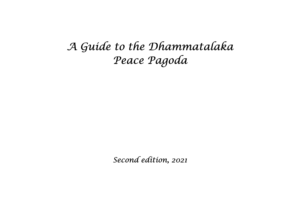# A Guide to the Dhammatalaka Peace Pagoda

Second edition, 2021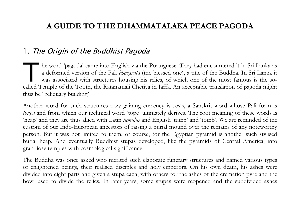## A GUIDE TO THE DHAMMATALAKA PEACE PAGODA

#### 1. The Origin of the Buddhist Pagoda

he word 'pagoda' came into English via the Portuguese. They had encountered it in Sri Lanka as a deformed version of the Pali bhagavata (the blessed one), a title of the Buddha. In Sri Lanka it was associated with structures housing his relics, of which one of the most famous is the sohe word 'pagoda' came into English via the Portuguese. They had encountered it in Sri Lanka as<br>a deformed version of the Pali *bhagavata* (the blessed one), a title of the Buddha. In Sri Lanka it<br>was associated with struct thus be "reliquary building".

Another word for such structures now gaining currency is stupa, a Sanskrit word whose Pali form is thupa and from which our technical word 'tope' ultimately derives. The root meaning of these words is 'heap' and they are thus allied with Latin tumulus and English 'tump' and 'tomb'. We are reminded of the custom of our Indo-European ancestors of raising a burial mound over the remains of any noteworthy person. But it was not limited to them, of course, for the Egyptian pyramid is another such stylised burial heap. And eventually Buddhist stupas developed, like the pyramids of Central America, into grandiose temples with cosmological significance.

The Buddha was once asked who merited such elaborate funerary structures and named various types of enlightened beings, their realised disciples and holy emperors. On his own death, his ashes were divided into eight parts and given a stupa each, with others for the ashes of the cremation pyre and the bowl used to divide the relics. In later years, some stupas were reopened and the subdivided ashes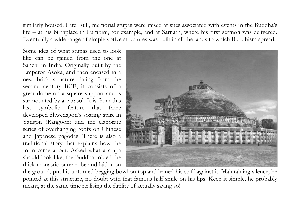similarly housed. Later still, memorial stupas were raised at sites associated with events in the Buddha's life – at his birthplace in Lumbini, for example, and at Sarnath, where his first sermon was delivered. Eventually a wide range of simple votive structures was built in all the lands to which Buddhism spread.

Some idea of what stupas used to look like can be gained from the one at Sanchi in India. Originally built by the Emperor Asoka, and then encased in a new brick structure dating from the second century BCE, it consists of a great dome on a square support and is surmounted by a parasol. It is from this last symbolic feature that there developed Shwedagon's soaring spire in Yangon (Rangoon) and the elaborate series of overhanging roofs on Chinese and Japanese pagodas. There is also a traditional story that explains how the form came about. Asked what a stupa should look like, the Buddha folded the thick monastic outer robe and laid it on



the ground, put his upturned begging bowl on top and leaned his staff against it. Maintaining silence, he pointed at this structure, no doubt with that famous half smile on his lips. Keep it simple, he probably meant, at the same time realising the futility of actually saying so!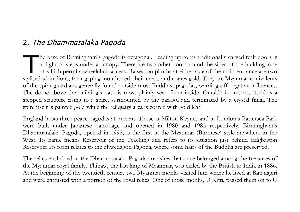#### 2. The Dhammatalaka Pagoda

he base of Birmingham's pagoda is octagonal. Leading up to its traditionally carved teak doors is a flight of steps under a canopy. There are two other doors round the sides of the building, one of which permits wheelchair access. Raised on plinths at either side of the main entrance are two The base of Birmingham's pagoda is octagonal. Leading up to its traditionally carved teak doors is<br>a flight of steps under a canopy. There are two other doors round the sides of the building, one<br>of which permits wheelchai of the spirit guardians generally found outside most Buddhist pagodas, warding off negative influences. The dome above the building's base is most plainly seen from inside. Outside it presents itself as a stepped structure rising to a spire, surmounted by the parasol and terminated by a crystal finial. The spire itself is painted gold while the reliquary area is coated with gold leaf.

England hosts three peace pagodas at present. Those at Milton Keynes and in London's Battersea Park were built under Japanese patronage and opened in 1980 and 1985 respectively. Birmingham's Dhammatalaka Pagoda, opened in 1998, is the first in the Myanmar (Burmese) style anywhere in the West. Its name means Reservoir of the Teaching and refers to its situation just behind Edgbaston Reservoir. Its form relates to the Shwedagon Pagoda, where some hairs of the Buddha are preserved.

The relics enshrined in the Dhammatalaka Pagoda are ashes that once belonged among the treasures of the Myanmar royal family. Thibaw, the last king of Myanmar, was exiled by the British to India in 1886. At the beginning of the twentieth century two Myanmar monks visited him where he lived at Ratanagiri and were entrusted with a portion of the royal relics. One of those monks, U Kitti, passed them on to U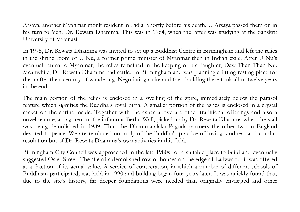Arsaya, another Myanmar monk resident in India. Shortly before his death, U Arsaya passed them on in his turn to Ven. Dr. Rewata Dhamma. This was in 1964, when the latter was studying at the Sanskrit University of Varanasi.

In 1975, Dr. Rewata Dhamma was invited to set up a Buddhist Centre in Birmingham and left the relics in the shrine room of U Nu, a former prime minister of Myanmar then in Indian exile. After U Nu's eventual return to Myanmar, the relics remained in the keeping of his daughter, Daw Than Than Nu. Meanwhile, Dr. Rewata Dhamma had settled in Birmingham and was planning a fitting resting place for them after their century of wandering. Negotiating a site and then building there took all of twelve years in the end.

The main portion of the relics is enclosed in a swelling of the spire, immediately below the parasol feature which signifies the Buddha's royal birth. A smaller portion of the ashes is enclosed in a crystal casket on the shrine inside. Together with the ashes above are other traditional offerings and also a novel feature, a fragment of the infamous Berlin Wall, picked up by Dr. Rewata Dhamma when the wall was being demolished in 1989. Thus the Dhammatalaka Pagoda partners the other two in England devoted to peace. We are reminded not only of the Buddha's practice of loving-kindness and conflict resolution but of Dr. Rewata Dhamma's own activities in this field.

Birmingham City Council was approached in the late 1980s for a suitable place to build and eventually suggested Osler Street. The site of a demolished row of houses on the edge of Ladywood, it was offered at a fraction of its actual value. A service of consecration, in which a number of different schools of Buddhism participated, was held in 1990 and building began four years later. It was quickly found that, due to the site's history, far deeper foundations were needed than originally envisaged and other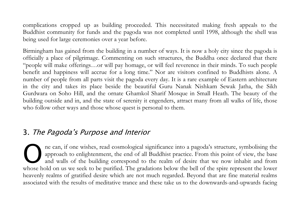complications cropped up as building proceeded. This necessitated making fresh appeals to the Buddhist community for funds and the pagoda was not completed until 1998, although the shell was being used for large ceremonies over a year before.

Birmingham has gained from the building in a number of ways. It is now a holy city since the pagoda is officially a place of pilgrimage. Commenting on such structures, the Buddha once declared that there "people will make offerings…or will pay homage, or will feel reverence in their minds. To such people benefit and happiness will accrue for a long time." Nor are visitors confined to Buddhists alone. A number of people from all parts visit the pagoda every day. It is a rare example of Eastern architecture in the city and takes its place beside the beautiful Guru Nanak Nishkam Sewak Jatha, the Sikh Gurdwara on Soho Hill, and the ornate Ghamkol Sharif Mosque in Small Heath. The beauty of the building outside and in, and the state of serenity it engenders, attract many from all walks of life, those who follow other ways and those whose quest is personal to them.

## 3. The Pagoda's Purpose and Interior

ne can, if one wishes, read cosmological significance into a pagoda's structure, symbolising the approach to enlightenment, the end of all Buddhist practice. From this point of view, the base and walls of the building correspond to the realm of desire that we now inhabit and from The can, if one wishes, read cosmological significance into a pagoda's structure, symbolising the approach to enlightenment, the end of all Buddhist practice. From this point of view, the base and walls of the building cor heavenly realms of gratified desire which are not much regarded. Beyond that are fine material realms associated with the results of meditative trance and these take us to the downwards-and-upwards facing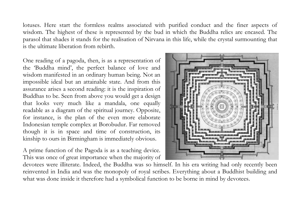lotuses. Here start the formless realms associated with purified conduct and the finer aspects of wisdom. The highest of these is represented by the bud in which the Buddha relics are encased. The parasol that shades it stands for the realisation of Nirvana in this life, while the crystal surmounting that is the ultimate liberation from rebirth.

One reading of a pagoda, then, is as a representation of the 'Buddha mind', the perfect balance of love and wisdom manifested in an ordinary human being. Not an impossible ideal but an attainable state. And from this assurance arises a second reading: it is the inspiration of Buddhas to be. Seen from above you would get a design that looks very much like a mandala, one equally readable as a diagram of the spiritual journey. Opposite, for instance, is the plan of the even more elaborate Indonesian temple complex at Borobudur. Far removed though it is in space and time of construction, its kinship to ours in Birmingham is immediately obvious.

A prime function of the Pagoda is as a teaching device. This was once of great importance when the majority of



devotees were illiterate. Indeed, the Buddha was so himself. In his era writing had only recently been reinvented in India and was the monopoly of royal scribes. Everything about a Buddhist building and what was done inside it therefore had a symbolical function to be borne in mind by devotees.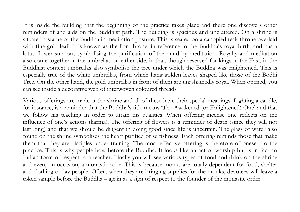It is inside the building that the beginning of the practice takes place and there one discovers other reminders of and aids on the Buddhist path. The building is spacious and uncluttered. On a shrine is situated a statue of the Buddha in meditation posture. This is seated on a canopied teak throne overlaid with fine gold leaf. It is known as the lion throne, in reference to the Buddha's royal birth, and has a lotus flower support, symbolising the purification of the mind by meditation. Royalty and meditation also come together in the umbrellas on either side, in that, though reserved for kings in the East, in the Buddhist context umbrellas also symbolise the tree under which the Buddha was enlightened. This is especially true of the white umbrellas, from which hang golden leaves shaped like those of the Bodhi Tree. On the other hand, the gold umbrellas in front of them are unashamedly royal. When opened, you can see inside a decorative web of interwoven coloured threads

Various offerings are made at the shrine and all of these have their special meanings. Lighting a candle, for instance, is a reminder that the Buddha's title means 'The Awakened (or Enlightened) One' and that we follow his teaching in order to attain his qualities. When offering incense one reflects on the influence of one's actions (karma). The offering of flowers is a reminder of death (since they will not last long) and that we should be diligent in doing good since life is uncertain. The glass of water also found on the shrine symbolises the heart purified of selfishness. Each offering reminds those that make them that they are disciples under training. The most effective offering is therefore of oneself to the practice. This is why people bow before the Buddha. It looks like an act of worship but is in fact an Indian form of respect to a teacher. Finally you will see various types of food and drink on the shrine and even, on occasion, a monastic robe. This is because monks are totally dependent for food, shelter and clothing on lay people. Often, when they are bringing supplies for the monks, devotees will leave a token sample before the Buddha – again as a sign of respect to the founder of the monastic order.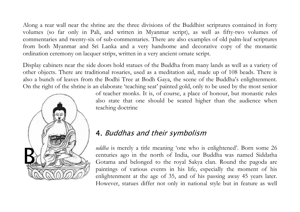Along a rear wall near the shrine are the three divisions of the Buddhist scriptures contained in forty volumes (so far only in Pali, and written in Myanmar script), as well as fifty-two volumes of commentaries and twenty-six of sub-commentaries. There are also examples of old palm-leaf scriptures from both Myanmar and Sri Lanka and a very handsome and decorative copy of the monastic ordination ceremony on lacquer strips, written in a very ancient ornate script.

Display cabinets near the side doors hold statues of the Buddha from many lands as well as a variety of other objects. There are traditional rosaries, used as a meditation aid, made up of 108 beads. There is also a bunch of leaves from the Bodhi Tree at Bodh Gaya, the scene of the Buddha's enlightenment. On the right of the shrine is an elaborate 'teaching seat' painted gold, only to be used by the most senior



of teacher monks. It is, of course, a place of honour, but monastic rules also state that one should be seated higher than the audience when teaching doctrine

# 4. Buddhas and their symbolism

uddha is merely a title meaning 'one who is enlightened'. Born some 26 centuries ago in the north of India, our Buddha was named Siddatha Gotama and belonged to the royal Sakya clan. Round the pagoda are paintings of various events in his life, especially the moment of his enlightenment at the age of 35, and of his passing away 45 years later. However, statues differ not only in national style but in feature as well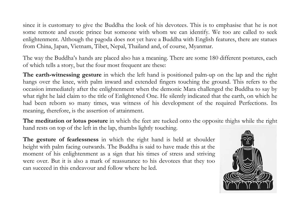since it is customary to give the Buddha the look of his devotees. This is to emphasise that he is not some remote and exotic prince but someone with whom we can identify. We too are called to seek enlightenment. Although the pagoda does not yet have a Buddha with English features, there are statues from China, Japan, Vietnam, Tibet, Nepal, Thailand and, of course, Myanmar.

The way the Buddha's hands are placed also has a meaning. There are some 180 different postures, each of which tells a story, but the four most frequent are these:

The earth-witnessing gesture in which the left hand is positioned palm-up on the lap and the right hangs over the knee, with palm inward and extended fingers touching the ground. This refers to the occasion immediately after the enlightenment when the demonic Mara challenged the Buddha to say by what right he laid claim to the title of Enlightened One. He silently indicated that the earth, on which he had been reborn so many times, was witness of his development of the required Perfections. Its meaning, therefore, is the assertion of attainment.

The meditation or lotus posture in which the feet are tucked onto the opposite thighs while the right hand rests on top of the left in the lap, thumbs lightly touching.

The gesture of fearlessness in which the right hand is held at shoulder height with palm facing outwards. The Buddha is said to have made this at the moment of his enlightenment as a sign that his times of stress and striving were over. But it is also a mark of reassurance to his devotees that they too can succeed in this endeavour and follow where he led.

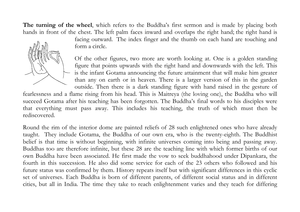The turning of the wheel, which refers to the Buddha's first sermon and is made by placing both hands in front of the chest. The left palm faces inward and overlaps the right hand; the right hand is



facing outward. The index finger and the thumb on each hand are touching and form a circle.

Of the other figures, two more are worth looking at. One is a golden standing figure that points upwards with the right hand and downwards with the left. This is the infant Gotama announcing the future attainment that will make him greater than any on earth or in heaven. There is a larger version of this in the garden outside. Then there is a dark standing figure with hand raised in the gesture of

fearlessness and a flame rising from his head. This is Maitreya (the loving one), the Buddha who will succeed Gotama after his teaching has been forgotten. The Buddha's final words to his disciples were that everything must pass away. This includes his teaching, the truth of which must then be rediscovered.

Round the rim of the interior dome are painted reliefs of 28 such enlightened ones who have already taught. They include Gotama, the Buddha of our own era, who is the twenty-eighth. The Buddhist belief is that time is without beginning, with infinite universes coming into being and passing away. Buddhas too are therefore infinite, but these 28 are the teaching line with which former births of our own Buddha have been associated. He first made the vow to seek buddhahood under Dipankara, the fourth in this succession. He also did some service for each of the 23 others who followed and his future status was confirmed by them. History repeats itself but with significant differences in this cyclic set of universes. Each Buddha is born of different parents, of different social status and in different cities, but all in India. The time they take to reach enlightenment varies and they teach for differing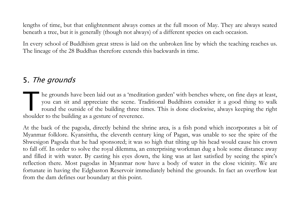lengths of time, but that enlightenment always comes at the full moon of May. They are always seated beneath a tree, but it is generally (though not always) of a different species on each occasion.

In every school of Buddhism great stress is laid on the unbroken line by which the teaching reaches us. The lineage of the 28 Buddhas therefore extends this backwards in time.

## 5. The grounds

he grounds have been laid out as a 'meditation garden' with benches where, on fine days at least, you can sit and appreciate the scene. Traditional Buddhists consider it a good thing to walk round the outside of the building three times. This is done clockwise, always keeping the right he grounds have been laid out as a 'medita<br>you can sit and appreciate the scene. Tra<br>round the outside of the building three tir<br>shoulder to the building as a gesture of reverence.

At the back of the pagoda, directly behind the shrine area, is a fish pond which incorporates a bit of Myanmar folklore. Kyansittha, the eleventh century king of Pagan, was unable to see the spire of the Shwesigon Pagoda that he had sponsored; it was so high that tilting up his head would cause his crown to fall off. In order to solve the royal dilemma, an enterprising workman dug a hole some distance away and filled it with water. By casting his eyes down, the king was at last satisfied by seeing the spire's reflection there. Most pagodas in Myanmar now have a body of water in the close vicinity. We are fortunate in having the Edgbaston Reservoir immediately behind the grounds. In fact an overflow leat from the dam defines our boundary at this point.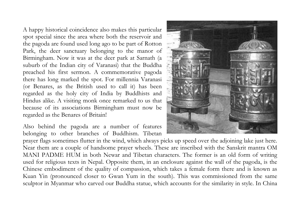A happy historical coincidence also makes this particular spot special since the area where both the reservoir and the pagoda are found used long ago to be part of Rotton Park, the deer sanctuary belonging to the manor of Birmingham. Now it was at the deer park at Sarnath (a suburb of the Indian city of Varanasi) that the Buddha preached his first sermon. A commemorative pagoda there has long marked the spot. For millennia Varanasi (or Benares, as the British used to call it) has been regarded as the holy city of India by Buddhists and Hindus alike. A visiting monk once remarked to us that because of its associations Birmingham must now be regarded as the Benares of Britain!

Also behind the pagoda are a number of features belonging to other branches of Buddhism. Tibetan



prayer flags sometimes flutter in the wind, which always picks up speed over the adjoining lake just here. Near them are a couple of handsome prayer wheels. These are inscribed with the Sanskrit mantra OM MANI PADME HUM in both Newar and Tibetan characters. The former is an old form of writing used for religious texts in Nepal. Opposite them, in an enclosure against the wall of the pagoda, is the Chinese embodiment of the quality of compassion, which takes a female form there and is known as Kuan Yin (pronounced closer to Gwan Yum in the south). This was commissioned from the same sculptor in Myanmar who carved our Buddha statue, which accounts for the similarity in style. In China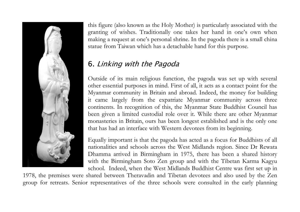

this figure (also known as the Holy Mother) is particularly associated with the granting of wishes. Traditionally one takes her hand in one's own when making a request at one's personal shrine. In the pagoda there is a small china statue from Taiwan which has a detachable hand for this purpose.

# 6. Linking with the Pagoda

Outside of its main religious function, the pagoda was set up with several other essential purposes in mind. First of all, it acts as a contact point for the Myanmar community in Britain and abroad. Indeed, the money for building it came largely from the expatriate Myanmar community across three continents. In recognition of this, the Myanmar State Buddhist Council has been given a limited custodial role over it. While there are other Myanmar monasteries in Britain, ours has been longest established and is the only one that has had an interface with Western devotees from its beginning.

Equally important is that the pagoda has acted as a focus for Buddhists of all nationalities and schools across the West Midlands region. Since Dr Rewata Dhamma arrived in Birmingham in 1975, there has been a shared history with the Birmingham Soto Zen group and with the Tibetan Karma Kagyu school. Indeed, when the West Midlands Buddhist Centre was first set up in

1978, the premises were shared between Theravadin and Tibetan devotees and also used by the Zen group for retreats. Senior representatives of the three schools were consulted in the early planning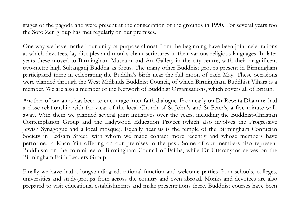stages of the pagoda and were present at the consecration of the grounds in 1990. For several years too the Soto Zen group has met regularly on our premises.

One way we have marked our unity of purpose almost from the beginning have been joint celebrations at which devotees, lay disciples and monks chant scriptures in their various religious languages. In later years these moved to Birmingham Museum and Art Gallery in the city centre, with their magnificent two-metre high Sultanganj Buddha as focus. The many other Buddhist groups present in Birmingham participated there in celebrating the Buddha's birth near the full moon of each May. These occasions were planned through the West Midlands Buddhist Council, of which Birmingham Buddhist Vihara is a member. We are also a member of the Network of Buddhist Organisations, which covers all of Britain.

Another of our aims has been to encourage inter-faith dialogue. From early on Dr Rewata Dhamma had a close relationship with the vicar of the local Church of St John's and St Peter's, a five minute walk away. With them we planned several joint initiatives over the years, including the Buddhist-Christian Contemplation Group and the Ladywood Education Project (which also involves the Progressive Jewish Synagogue and a local mosque). Equally near us is the temple of the Birmingham Confucian Society in Ledsam Street, with whom we made contact more recently and whose members have performed a Kuan Yin offering on our premises in the past. Some of our members also represent Buddhism on the committee of Birmingham Council of Faiths, while Dr Uttaranyana serves on the Birmingham Faith Leaders Group

Finally we have had a longstanding educational function and welcome parties from schools, colleges, universities and study-groups from across the country and even abroad. Monks and devotees are also prepared to visit educational establishments and make presentations there. Buddhist courses have been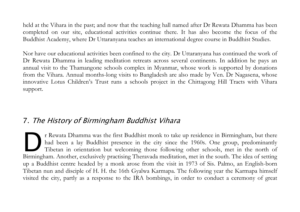held at the Vihara in the past; and now that the teaching hall named after Dr Rewata Dhamma has been completed on our site, educational activities continue there. It has also become the focus of the Buddhist Academy, where Dr Uttaranyana teaches an international degree course in Buddhist Studies.

Nor have our educational activities been confined to the city. Dr Uttaranyana has continued the work of Dr Rewata Dhamma in leading meditation retreats across several continents. In addition he pays an annual visit to the Thamangone schools complex in Myanmar, whose work is supported by donations from the Vihara. Annual months-long visits to Bangladesh are also made by Ven. Dr Nagasena, whose innovative Lotus Children's Trust runs a schools project in the Chittagong Hill Tracts with Vihara support.

#### 7. The History of Birmingham Buddhist Vihara

r Rewata Dhamma was the first Buddhist monk to take up residence in Birmingham, but there had been a lay Buddhist presence in the city since the 1960s. One group, predominantly Tibetan in orientation but welcoming those following other schools, met in the north of IF Rewata Dhamma was the first Buddhist monk to take up residence in Birmingham, but there had been a lay Buddhist presence in the city since the 1960s. One group, predominantly Tibetan in orientation but welcoming those f up a Buddhist centre headed by a monk arose from the visit in 1973 of Sis. Palmo, an English-born Tibetan nun and disciple of H. H. the 16th Gyalwa Karmapa. The following year the Karmapa himself visited the city, partly as a response to the IRA bombings, in order to conduct a ceremony of great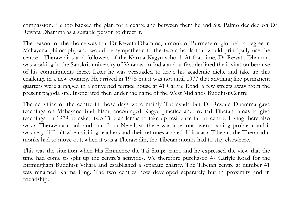compassion. He too backed the plan for a centre and between them he and Sis. Palmo decided on Dr Rewata Dhamma as a suitable person to direct it.

The reason for the choice was that Dr Rewata Dhamma, a monk of Burmese origin, held a degree in Mahayana philosophy and would be sympathetic to the two schools that would principally use the centre - Theravadins and followers of the Karma Kagyu school. At that time, Dr Rewata Dhamma was working in the Sanskrit university of Varanasi in India and at first declined the invitation because of his commitments there. Later he was persuaded to leave his academic niche and take up this challenge in a new country. He arrived in 1975 but it was not until 1977 that anything like permanent quarters were arranged in a converted terrace house at 41 Carlyle Road, a few streets away from the present pagoda site. It operated then under the name of the West Midlands Buddhist Centre.

The activities of the centre in those days were mainly Theravada but Dr Rewata Dhamma gave teachings on Mahayana Buddhism, encouraged Kagyu practice and invited Tibetan lamas to give teachings. In 1979 he asked two Tibetan lamas to take up residence in the centre. Living there also was a Theravada monk and nun from Nepal, so there was a serious overcrowding problem and it was very difficult when visiting teachers and their retinues arrived. If it was a Tibetan, the Theravadin monks had to move out; when it was a Theravadin, the Tibetan monks had to stay elsewhere.

This was the situation when His Eminence the Tai Situpa came and he expressed the view that the time had come to split up the centre's activities. We therefore purchased 47 Carlyle Road for the Birmingham Buddhist Vihara and established a separate charity. The Tibetan centre at number 41 was renamed Karma Ling. The two centres now developed separately but in proximity and in friendship.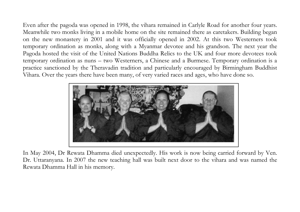Even after the pagoda was opened in 1998, the vihara remained in Carlyle Road for another four years. Meanwhile two monks living in a mobile home on the site remained there as caretakers. Building began on the new monastery in 2001 and it was officially opened in 2002. At this two Westerners took temporary ordination as monks, along with a Myanmar devotee and his grandson. The next year the Pagoda hosted the visit of the United Nations Buddha Relics to the UK and four more devotees took temporary ordination as nuns – two Westerners, a Chinese and a Burmese. Temporary ordination is a practice sanctioned by the Theravadin tradition and particularly encouraged by Birmingham Buddhist Vihara. Over the years there have been many, of very varied races and ages, who have done so.



In May 2004, Dr Rewata Dhamma died unexpectedly. His work is now being carried forward by Ven. Dr. Uttaranyana. In 2007 the new teaching hall was built next door to the vihara and was named the Rewata Dhamma Hall in his memory.